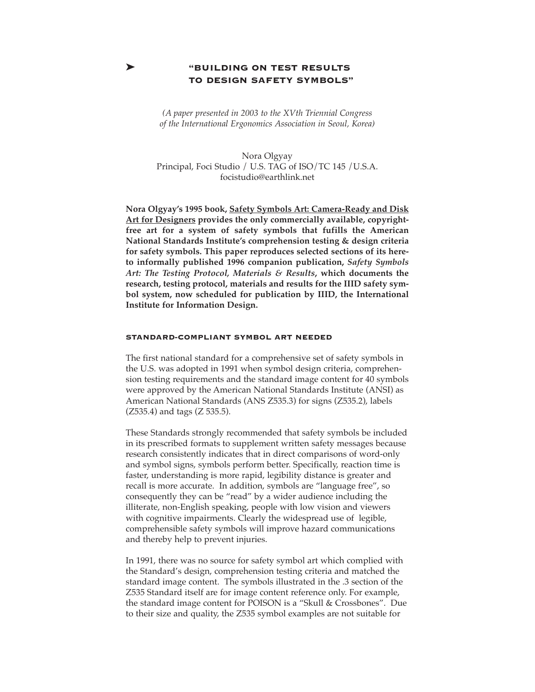# ➤ **"BUILDING ON TEST RESULTS TO DESIGN SAFETY SYMBOLS"**

*(A paper presented in 2003 to the XVth Triennial Congress of the International Ergonomics Association in Seoul, Korea)*

Nora Olgyay Principal, Foci Studio / U.S. TAG of ISO/TC 145 /U.S.A. focistudio@earthlink.net

**Nora Olgyay's 1995 book, Safety Symbols Art: Camera-Ready and Disk Art for Designers provides the only commercially available, copyrightfree art for a system of safety symbols that fufills the American National Standards Institute's comprehension testing & design criteria for safety symbols. This paper reproduces selected sections of its hereto informally published 1996 companion publication,** *Safety Symbols Art: The Testing Protocol, Materials & Results***, which documents the research, testing protocol, materials and results for the IIID safety symbol system, now scheduled for publication by IIID, the International Institute for Information Design.** 

### **STANDARD-COMPLIANT SYMBOL ART NEEDED**

The first national standard for a comprehensive set of safety symbols in the U.S. was adopted in 1991 when symbol design criteria, comprehension testing requirements and the standard image content for 40 symbols were approved by the American National Standards Institute (ANSI) as American National Standards (ANS Z535.3) for signs (Z535.2), labels (Z535.4) and tags (Z 535.5).

These Standards strongly recommended that safety symbols be included in its prescribed formats to supplement written safety messages because research consistently indicates that in direct comparisons of word-only and symbol signs, symbols perform better. Specifically, reaction time is faster, understanding is more rapid, legibility distance is greater and recall is more accurate. In addition, symbols are "language free", so consequently they can be "read" by a wider audience including the illiterate, non-English speaking, people with low vision and viewers with cognitive impairments. Clearly the widespread use of legible, comprehensible safety symbols will improve hazard communications and thereby help to prevent injuries.

In 1991, there was no source for safety symbol art which complied with the Standard's design, comprehension testing criteria and matched the standard image content. The symbols illustrated in the .3 section of the Z535 Standard itself are for image content reference only. For example, the standard image content for POISON is a "Skull & Crossbones". Due to their size and quality, the Z535 symbol examples are not suitable for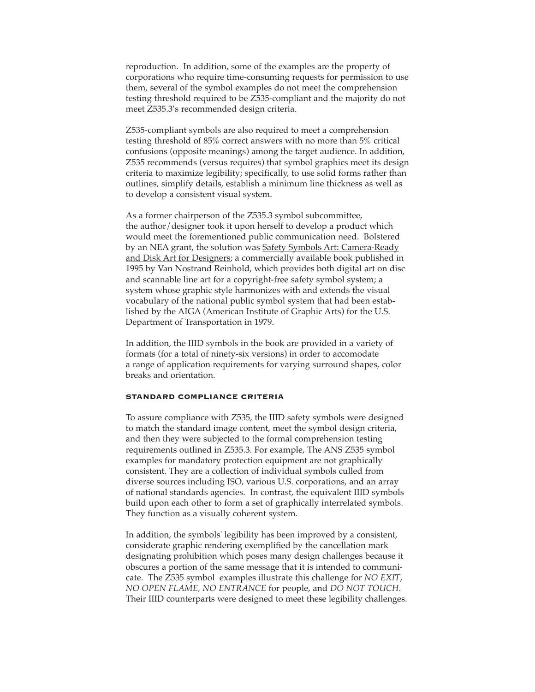reproduction. In addition, some of the examples are the property of corporations who require time-consuming requests for permission to use them, several of the symbol examples do not meet the comprehension testing threshold required to be Z535-compliant and the majority do not meet Z535.3's recommended design criteria.

Z535-compliant symbols are also required to meet a comprehension testing threshold of 85% correct answers with no more than 5% critical confusions (opposite meanings) among the target audience. In addition, Z535 recommends (versus requires) that symbol graphics meet its design criteria to maximize legibility; specifically, to use solid forms rather than outlines, simplify details, establish a minimum line thickness as well as to develop a consistent visual system.

As a former chairperson of the Z535.3 symbol subcommittee, the author/designer took it upon herself to develop a product which would meet the forementioned public communication need. Bolstered by an NEA grant, the solution was Safety Symbols Art: Camera-Ready and Disk Art for Designers; a commercially available book published in 1995 by Van Nostrand Reinhold, which provides both digital art on disc and scannable line art for a copyright-free safety symbol system; a system whose graphic style harmonizes with and extends the visual vocabulary of the national public symbol system that had been established by the AIGA (American Institute of Graphic Arts) for the U.S. Department of Transportation in 1979.

In addition, the IIID symbols in the book are provided in a variety of formats (for a total of ninety-six versions) in order to accomodate a range of application requirements for varying surround shapes, color breaks and orientation.

#### **STANDARD COMPLIANCE CRITERIA**

To assure compliance with Z535, the IIID safety symbols were designed to match the standard image content, meet the symbol design criteria, and then they were subjected to the formal comprehension testing requirements outlined in Z535.3. For example, The ANS Z535 symbol examples for mandatory protection equipment are not graphically consistent. They are a collection of individual symbols culled from diverse sources including ISO, various U.S. corporations, and an array of national standards agencies. In contrast, the equivalent IIID symbols build upon each other to form a set of graphically interrelated symbols. They function as a visually coherent system.

In addition, the symbols' legibility has been improved by a consistent, considerate graphic rendering exemplified by the cancellation mark designating prohibition which poses many design challenges because it obscures a portion of the same message that it is intended to communicate. The Z535 symbol examples illustrate this challenge for *NO EXIT*, *NO OPEN FLAME, NO ENTRANCE* for people, and *DO NOT TOUCH*. Their IIID counterparts were designed to meet these legibility challenges.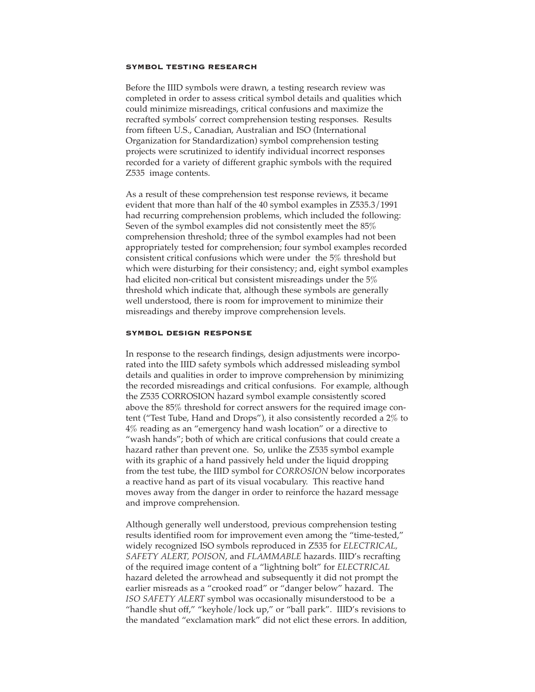## **SYMBOL TESTING RESEARCH**

Before the IIID symbols were drawn, a testing research review was completed in order to assess critical symbol details and qualities which could minimize misreadings, critical confusions and maximize the recrafted symbols' correct comprehension testing responses. Results from fifteen U.S., Canadian, Australian and ISO (International Organization for Standardization) symbol comprehension testing projects were scrutinized to identify individual incorrect responses recorded for a variety of different graphic symbols with the required Z535 image contents.

As a result of these comprehension test response reviews, it became evident that more than half of the 40 symbol examples in Z535.3/1991 had recurring comprehension problems, which included the following: Seven of the symbol examples did not consistently meet the 85% comprehension threshold; three of the symbol examples had not been appropriately tested for comprehension; four symbol examples recorded consistent critical confusions which were under the 5% threshold but which were disturbing for their consistency; and, eight symbol examples had elicited non-critical but consistent misreadings under the 5% threshold which indicate that, although these symbols are generally well understood, there is room for improvement to minimize their misreadings and thereby improve comprehension levels.

## **SYMBOL DESIGN RESPONSE**

In response to the research findings, design adjustments were incorporated into the IIID safety symbols which addressed misleading symbol details and qualities in order to improve comprehension by minimizing the recorded misreadings and critical confusions. For example, although the Z535 CORROSION hazard symbol example consistently scored above the 85% threshold for correct answers for the required image content ("Test Tube, Hand and Drops"), it also consistently recorded a 2% to 4% reading as an "emergency hand wash location" or a directive to "wash hands"; both of which are critical confusions that could create a hazard rather than prevent one. So, unlike the Z535 symbol example with its graphic of a hand passively held under the liquid dropping from the test tube, the IIID symbol for *CORROSION* below incorporates a reactive hand as part of its visual vocabulary. This reactive hand moves away from the danger in order to reinforce the hazard message and improve comprehension.

Although generally well understood, previous comprehension testing results identified room for improvement even among the "time-tested," widely recognized ISO symbols reproduced in Z535 for *ELECTRICAL, SAFETY ALERT, POISON*, and *FLAMMABLE* hazards. IIID's recrafting of the required image content of a "lightning bolt" for *ELECTRICAL* hazard deleted the arrowhead and subsequently it did not prompt the earlier misreads as a "crooked road" or "danger below" hazard. The *ISO SAFETY ALERT* symbol was occasionally misunderstood to be a "handle shut off," "keyhole/lock up," or "ball park". IIID's revisions to the mandated "exclamation mark" did not elict these errors. In addition,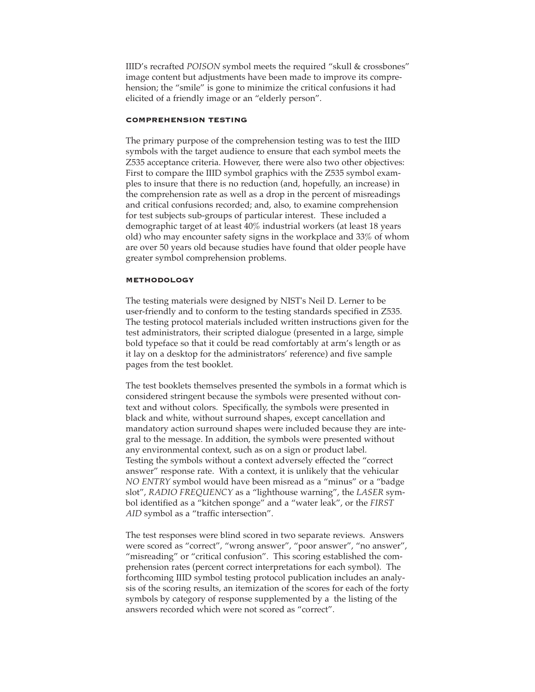IIID's recrafted *POISON* symbol meets the required "skull & crossbones" image content but adjustments have been made to improve its comprehension; the "smile" is gone to minimize the critical confusions it had elicited of a friendly image or an "elderly person".

# **COMPREHENSION TESTING**

The primary purpose of the comprehension testing was to test the IIID symbols with the target audience to ensure that each symbol meets the Z535 acceptance criteria. However, there were also two other objectives: First to compare the IIID symbol graphics with the Z535 symbol examples to insure that there is no reduction (and, hopefully, an increase) in the comprehension rate as well as a drop in the percent of misreadings and critical confusions recorded; and, also, to examine comprehension for test subjects sub-groups of particular interest. These included a demographic target of at least 40% industrial workers (at least 18 years old) who may encounter safety signs in the workplace and 33% of whom are over 50 years old because studies have found that older people have greater symbol comprehension problems.

#### **METHODOLOGY**

The testing materials were designed by NIST's Neil D. Lerner to be user-friendly and to conform to the testing standards specified in Z535. The testing protocol materials included written instructions given for the test administrators, their scripted dialogue (presented in a large, simple bold typeface so that it could be read comfortably at arm's length or as it lay on a desktop for the administrators' reference) and five sample pages from the test booklet.

The test booklets themselves presented the symbols in a format which is considered stringent because the symbols were presented without context and without colors. Specifically, the symbols were presented in black and white, without surround shapes, except cancellation and mandatory action surround shapes were included because they are integral to the message. In addition, the symbols were presented without any environmental context, such as on a sign or product label. Testing the symbols without a context adversely effected the "correct answer" response rate. With a context, it is unlikely that the vehicular *NO ENTRY* symbol would have been misread as a "minus" or a "badge slot", *RADIO FREQUENCY* as a "lighthouse warning", the *LASER* symbol identified as a "kitchen sponge" and a "water leak", or the *FIRST* AID symbol as a "traffic intersection".

The test responses were blind scored in two separate reviews. Answers were scored as "correct", "wrong answer", "poor answer", "no answer", "misreading" or "critical confusion". This scoring established the comprehension rates (percent correct interpretations for each symbol). The forthcoming IIID symbol testing protocol publication includes an analysis of the scoring results, an itemization of the scores for each of the forty symbols by category of response supplemented by a the listing of the answers recorded which were not scored as "correct".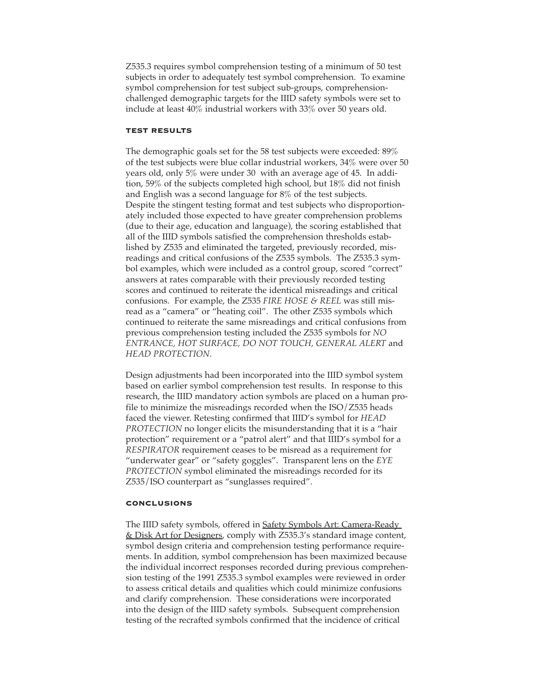Z535.3 requires symbol comprehension testing of a minimum of 50 test subjects in order to adequately test symbol comprehension. To examine symbol comprehension for test subject sub-groups, comprehensionchallenged demographic targets for the IIID safety symbols were set to include at least 40% industrial workers with 33% over 50 years old.

#### **TEST RESULTS**

The demographic goals set for the 58 test subjects were exceeded: 89% of the test subjects were blue collar industrial workers, 34% were over 50 years old, only 5% were under 30 with an average age of 45. In addition, 59% of the subjects completed high school, but 18% did not finish and English was a second language for 8% of the test subjects. Despite the stingent testing format and test subjects who disproportionately included those expected to have greater comprehension problems (due to their age, education and language), the scoring established that all of the IIID symbols satisfied the comprehension thresholds established by Z535 and eliminated the targeted, previously recorded, misreadings and critical confusions of the Z535 symbols. The Z535.3 symbol examples, which were included as a control group, scored "correct" answers at rates comparable with their previously recorded testing scores and continued to reiterate the identical misreadings and critical confusions. For example, the Z535 *FIRE HOSE & REEL* was still misread as a "camera" or "heating coil". The other Z535 symbols which continued to reiterate the same misreadings and critical confusions from previous comprehension testing included the Z535 symbols for *NO ENTRANCE, HOT SURFACE, DO NOT TOUCH, GENERAL ALERT* and *HEAD PROTECTION*.

Design adjustments had been incorporated into the IIID symbol system based on earlier symbol comprehension test results. In response to this research, the IIID mandatory action symbols are placed on a human profile to minimize the misreadings recorded when the ISO/Z535 heads faced the viewer. Retesting confirmed that IIID's symbol for *HEAD PROTECTION* no longer elicits the misunderstanding that it is a "hair protection" requirement or a "patrol alert" and that IIID's symbol for a *RESPIRATOR* requirement ceases to be misread as a requirement for "underwater gear" or "safety goggles". Transparent lens on the *EYE PROTECTION* symbol eliminated the misreadings recorded for its Z535/ISO counterpart as "sunglasses required".

## **CONCLUSIONS**

The IIID safety symbols, offered in **Safety Symbols Art: Camera-Ready** & Disk Art for Designers, comply with Z535.3's standard image content, symbol design criteria and comprehension testing performance requirements. In addition, symbol comprehension has been maximized because the individual incorrect responses recorded during previous comprehension testing of the 1991 Z535.3 symbol examples were reviewed in order to assess critical details and qualities which could minimize confusions and clarify comprehension. These considerations were incorporated into the design of the IIID safety symbols. Subsequent comprehension testing of the recrafted symbols confirmed that the incidence of critical